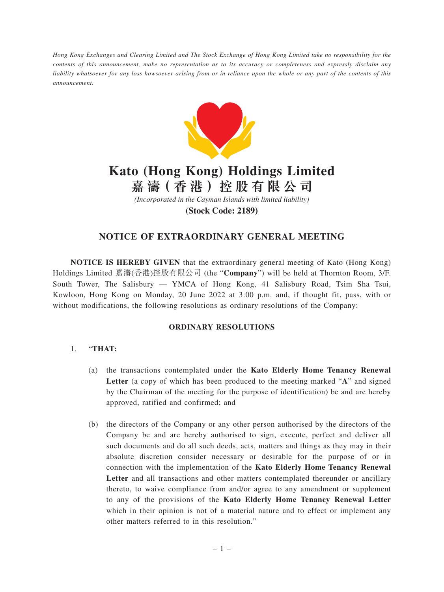*Hong Kong Exchanges and Clearing Limited and The Stock Exchange of Hong Kong Limited take no responsibility for the contents of this announcement, make no representation as to its accuracy or completeness and expressly disclaim any liability whatsoever for any loss howsoever arising from or in reliance upon the whole or any part of the contents of this announcement.*



# **Kato (Hong Kong) Holdings Limited**

**嘉 濤( 香 港 )控 股 有 限 公 司**

*(Incorporated in the Cayman Islands with limited liability)*

**(Stock Code: 2189)**

# **NOTICE OF EXTRAORDINARY GENERAL MEETING**

**NOTICE IS HEREBY GIVEN** that the extraordinary general meeting of Kato (Hong Kong) Holdings Limited 嘉濤(香港)控股有限公司 (the "**Company**") will be held at Thornton Room, 3/F. South Tower, The Salisbury — YMCA of Hong Kong, 41 Salisbury Road, Tsim Sha Tsui, Kowloon, Hong Kong on Monday, 20 June 2022 at 3:00 p.m. and, if thought fit, pass, with or without modifications, the following resolutions as ordinary resolutions of the Company:

## **ORDINARY RESOLUTIONS**

- (a) the transactions contemplated under the **Kato Elderly Home Tenancy Renewal Letter** (a copy of which has been produced to the meeting marked "**A**" and signed by the Chairman of the meeting for the purpose of identification) be and are hereby approved, ratified and confirmed; and
- (b) the directors of the Company or any other person authorised by the directors of the Company be and are hereby authorised to sign, execute, perfect and deliver all such documents and do all such deeds, acts, matters and things as they may in their absolute discretion consider necessary or desirable for the purpose of or in connection with the implementation of the **Kato Elderly Home Tenancy Renewal Letter** and all transactions and other matters contemplated thereunder or ancillary thereto, to waive compliance from and/or agree to any amendment or supplement to any of the provisions of the **Kato Elderly Home Tenancy Renewal Letter** which in their opinion is not of a material nature and to effect or implement any other matters referred to in this resolution."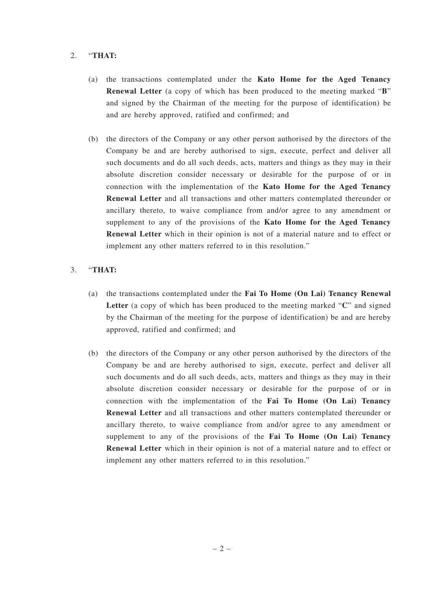- (a) the transactions contemplated under the **Kato Home for the Aged Tenancy Renewal Letter** (a copy of which has been produced to the meeting marked "**B**" and signed by the Chairman of the meeting for the purpose of identification) be and are hereby approved, ratified and confirmed; and
- (b) the directors of the Company or any other person authorised by the directors of the Company be and are hereby authorised to sign, execute, perfect and deliver all such documents and do all such deeds, acts, matters and things as they may in their absolute discretion consider necessary or desirable for the purpose of or in connection with the implementation of the **Kato Home for the Aged Tenancy Renewal Letter** and all transactions and other matters contemplated thereunder or ancillary thereto, to waive compliance from and/or agree to any amendment or supplement to any of the provisions of the **Kato Home for the Aged Tenancy Renewal Letter** which in their opinion is not of a material nature and to effect or implement any other matters referred to in this resolution."

- (a) the transactions contemplated under the **Fai To Home (On Lai) Tenancy Renewal Letter** (a copy of which has been produced to the meeting marked "**C**" and signed by the Chairman of the meeting for the purpose of identification) be and are hereby approved, ratified and confirmed; and
- (b) the directors of the Company or any other person authorised by the directors of the Company be and are hereby authorised to sign, execute, perfect and deliver all such documents and do all such deeds, acts, matters and things as they may in their absolute discretion consider necessary or desirable for the purpose of or in connection with the implementation of the **Fai To Home (On Lai) Tenancy Renewal Letter** and all transactions and other matters contemplated thereunder or ancillary thereto, to waive compliance from and/or agree to any amendment or supplement to any of the provisions of the **Fai To Home (On Lai) Tenancy Renewal Letter** which in their opinion is not of a material nature and to effect or implement any other matters referred to in this resolution."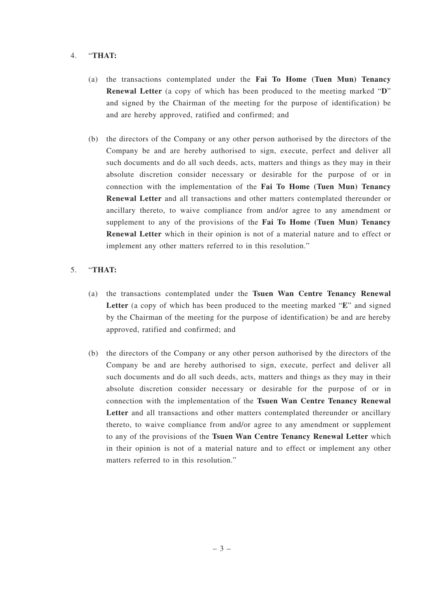- (a) the transactions contemplated under the **Fai To Home (Tuen Mun) Tenancy Renewal Letter** (a copy of which has been produced to the meeting marked "**D**" and signed by the Chairman of the meeting for the purpose of identification) be and are hereby approved, ratified and confirmed; and
- (b) the directors of the Company or any other person authorised by the directors of the Company be and are hereby authorised to sign, execute, perfect and deliver all such documents and do all such deeds, acts, matters and things as they may in their absolute discretion consider necessary or desirable for the purpose of or in connection with the implementation of the **Fai To Home (Tuen Mun) Tenancy Renewal Letter** and all transactions and other matters contemplated thereunder or ancillary thereto, to waive compliance from and/or agree to any amendment or supplement to any of the provisions of the **Fai To Home (Tuen Mun) Tenancy Renewal Letter** which in their opinion is not of a material nature and to effect or implement any other matters referred to in this resolution."

- (a) the transactions contemplated under the **Tsuen Wan Centre Tenancy Renewal Letter** (a copy of which has been produced to the meeting marked "**E**" and signed by the Chairman of the meeting for the purpose of identification) be and are hereby approved, ratified and confirmed; and
- (b) the directors of the Company or any other person authorised by the directors of the Company be and are hereby authorised to sign, execute, perfect and deliver all such documents and do all such deeds, acts, matters and things as they may in their absolute discretion consider necessary or desirable for the purpose of or in connection with the implementation of the **Tsuen Wan Centre Tenancy Renewal Letter** and all transactions and other matters contemplated thereunder or ancillary thereto, to waive compliance from and/or agree to any amendment or supplement to any of the provisions of the **Tsuen Wan Centre Tenancy Renewal Letter** which in their opinion is not of a material nature and to effect or implement any other matters referred to in this resolution."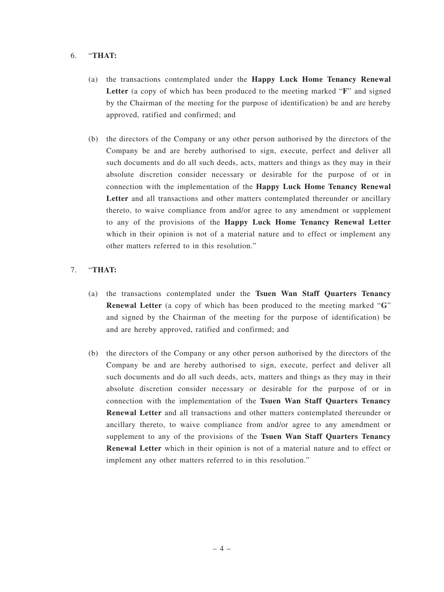- (a) the transactions contemplated under the **Happy Luck Home Tenancy Renewal Letter** (a copy of which has been produced to the meeting marked "**F**" and signed by the Chairman of the meeting for the purpose of identification) be and are hereby approved, ratified and confirmed; and
- (b) the directors of the Company or any other person authorised by the directors of the Company be and are hereby authorised to sign, execute, perfect and deliver all such documents and do all such deeds, acts, matters and things as they may in their absolute discretion consider necessary or desirable for the purpose of or in connection with the implementation of the **Happy Luck Home Tenancy Renewal Letter** and all transactions and other matters contemplated thereunder or ancillary thereto, to waive compliance from and/or agree to any amendment or supplement to any of the provisions of the **Happy Luck Home Tenancy Renewal Letter** which in their opinion is not of a material nature and to effect or implement any other matters referred to in this resolution."

- (a) the transactions contemplated under the **Tsuen Wan Staff Quarters Tenancy Renewal Letter** (a copy of which has been produced to the meeting marked "**G**" and signed by the Chairman of the meeting for the purpose of identification) be and are hereby approved, ratified and confirmed; and
- (b) the directors of the Company or any other person authorised by the directors of the Company be and are hereby authorised to sign, execute, perfect and deliver all such documents and do all such deeds, acts, matters and things as they may in their absolute discretion consider necessary or desirable for the purpose of or in connection with the implementation of the **Tsuen Wan Staff Quarters Tenancy Renewal Letter** and all transactions and other matters contemplated thereunder or ancillary thereto, to waive compliance from and/or agree to any amendment or supplement to any of the provisions of the **Tsuen Wan Staff Quarters Tenancy Renewal Letter** which in their opinion is not of a material nature and to effect or implement any other matters referred to in this resolution."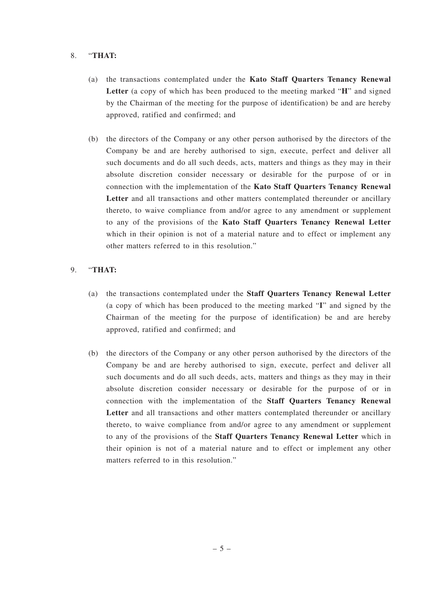- (a) the transactions contemplated under the **Kato Staff Quarters Tenancy Renewal Letter** (a copy of which has been produced to the meeting marked "**H**" and signed by the Chairman of the meeting for the purpose of identification) be and are hereby approved, ratified and confirmed; and
- (b) the directors of the Company or any other person authorised by the directors of the Company be and are hereby authorised to sign, execute, perfect and deliver all such documents and do all such deeds, acts, matters and things as they may in their absolute discretion consider necessary or desirable for the purpose of or in connection with the implementation of the **Kato Staff Quarters Tenancy Renewal Letter** and all transactions and other matters contemplated thereunder or ancillary thereto, to waive compliance from and/or agree to any amendment or supplement to any of the provisions of the **Kato Staff Quarters Tenancy Renewal Letter** which in their opinion is not of a material nature and to effect or implement any other matters referred to in this resolution."

- (a) the transactions contemplated under the **Staff Quarters Tenancy Renewal Letter** (a copy of which has been produced to the meeting marked "**I**" and signed by the Chairman of the meeting for the purpose of identification) be and are hereby approved, ratified and confirmed; and
- (b) the directors of the Company or any other person authorised by the directors of the Company be and are hereby authorised to sign, execute, perfect and deliver all such documents and do all such deeds, acts, matters and things as they may in their absolute discretion consider necessary or desirable for the purpose of or in connection with the implementation of the **Staff Quarters Tenancy Renewal Letter** and all transactions and other matters contemplated thereunder or ancillary thereto, to waive compliance from and/or agree to any amendment or supplement to any of the provisions of the **Staff Quarters Tenancy Renewal Letter** which in their opinion is not of a material nature and to effect or implement any other matters referred to in this resolution."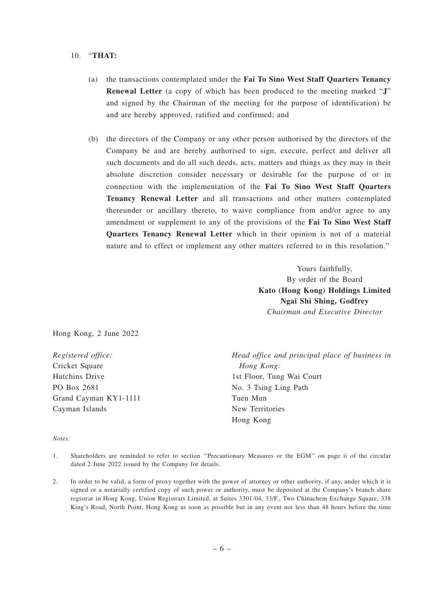- (a) the transactions contemplated under the **Fai To Sino West Staff Quarters Tenancy Renewal Letter** (a copy of which has been produced to the meeting marked "**J**" and signed by the Chairman of the meeting for the purpose of identification) be and are hereby approved, ratified and confirmed; and
- (b) the directors of the Company or any other person authorised by the directors of the Company be and are hereby authorised to sign, execute, perfect and deliver all such documents and do all such deeds, acts, matters and things as they may in their absolute discretion consider necessary or desirable for the purpose of or in connection with the implementation of the **Fai To Sino West Staff Quarters Tenancy Renewal Letter** and all transactions and other matters contemplated thereunder or ancillary thereto, to waive compliance from and/or agree to any amendment or supplement to any of the provisions of the **Fai To Sino West Staff Quarters Tenancy Renewal Letter** which in their opinion is not of a material nature and to effect or implement any other matters referred to in this resolution."

Yours faithfully, By order of the Board **Kato (Hong Kong) Holdings Limited Ngai Shi Shing, Godfrey** *Chairman and Executive Director*

Hong Kong, 2 June 2022

*Registered office:* Cricket Square Hutchins Drive PO Box 2681 Grand Cayman KY1-1111 Cayman Islands

*Head office and principal place of business in Hong Kong:* 1st Floor, Tung Wai Court No. 3 Tsing Ling Path Tuen Mun New Territories Hong Kong

#### *Notes:*

- 1. Shareholders are reminded to refer to section ''Precautionary Measures or the EGM'' on page ii of the circular dated 2 June 2022 issued by the Company for details.
- 2. In order to be valid, a form of proxy together with the power of attorney or other authority, if any, under which it is signed or a notarially certified copy of such power or authority, must be deposited at the Company's branch share registrar in Hong Kong, Union Registrars Limited, at Suites 3301-04, 33/F., Two Chinachem Exchange Square, 338 King's Road, North Point, Hong Kong as soon as possible but in any event not less than 48 hours before the time